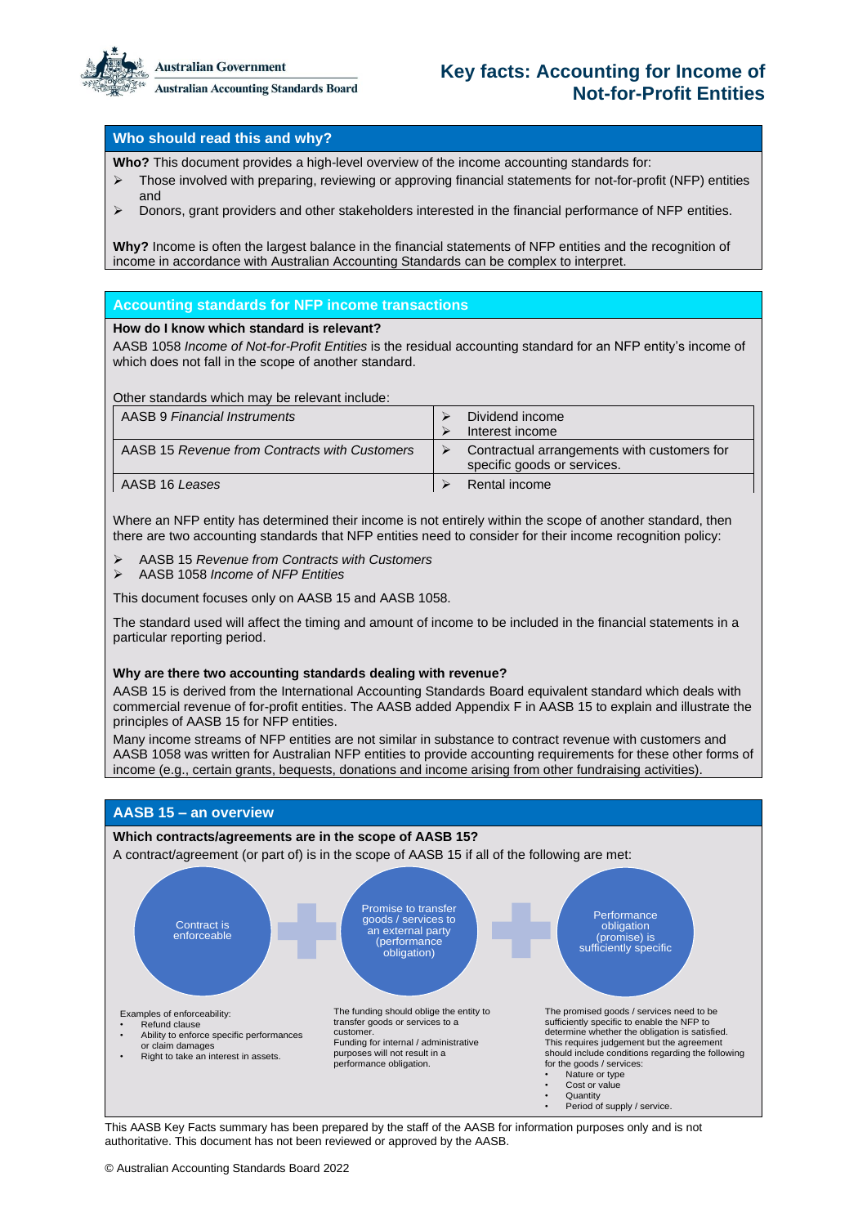

**Australian Accounting Standards Board** 

# **Key facts: Accounting for Income of Not-for-Profit Entities**

## **Who should read this and why?**

**Who?** This document provides a high-level overview of the income accounting standards for:

- ➢ Those involved with preparing, reviewing or approving financial statements for not-for-profit (NFP) entities and
- ➢ Donors, grant providers and other stakeholders interested in the financial performance of NFP entities.

**Why?** Income is often the largest balance in the financial statements of NFP entities and the recognition of income in accordance with Australian Accounting Standards can be complex to interpret.

## **Accounting standards for NFP income transactions**

## **How do I know which standard is relevant?**

AASB 1058 *Income of Not-for-Profit Entities* is the residual accounting standard for an NFP entity's income of which does not fall in the scope of another standard.

Other standards which may be relevant include:

| AASB 9 Financial Instruments                  | Dividend income<br>Interest income                                         |
|-----------------------------------------------|----------------------------------------------------------------------------|
| AASB 15 Revenue from Contracts with Customers | Contractual arrangements with customers for<br>specific goods or services. |
| AASB 16 Leases                                | Rental income                                                              |

Where an NFP entity has determined their income is not entirely within the scope of another standard, then there are two accounting standards that NFP entities need to consider for their income recognition policy:

- ➢ AASB 15 *Revenue from Contracts with Customers*
- ➢ AASB 1058 *Income of NFP Entities*

This document focuses only on AASB 15 and AASB 1058.

The standard used will affect the timing and amount of income to be included in the financial statements in a particular reporting period.

### **Why are there two accounting standards dealing with revenue?**

AASB 15 is derived from the International Accounting Standards Board equivalent standard which deals with commercial revenue of for-profit entities. The AASB added Appendix F in AASB 15 to explain and illustrate the principles of AASB 15 for NFP entities.

Many income streams of NFP entities are not similar in substance to contract revenue with customers and AASB 1058 was written for Australian NFP entities to provide accounting requirements for these other forms of income (e.g., certain grants, bequests, donations and income arising from other fundraising activities).



This AASB Key Facts summary has been prepared by the staff of the AASB for information purposes only and is not authoritative. This document has not been reviewed or approved by the AASB.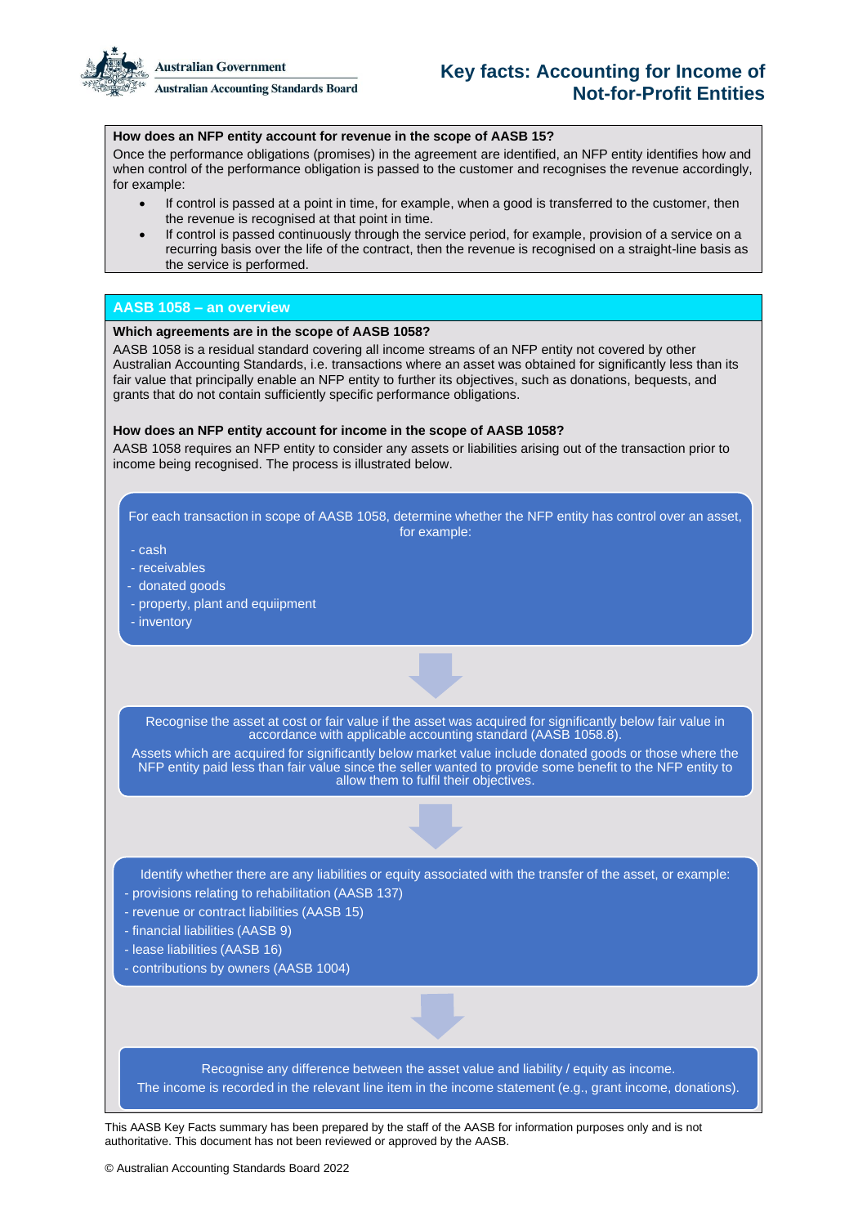**Australian Government** 

**Australian Accounting Standards Board** 

## **Key facts: Accounting for Income of Not-for-Profit Entities**

## **How does an NFP entity account for revenue in the scope of AASB 15?**

Once the performance obligations (promises) in the agreement are identified, an NFP entity identifies how and when control of the performance obligation is passed to the customer and recognises the revenue accordingly, for example:

- If control is passed at a point in time, for example, when a good is transferred to the customer, then the revenue is recognised at that point in time.
- If control is passed continuously through the service period, for example, provision of a service on a recurring basis over the life of the contract, then the revenue is recognised on a straight-line basis as the service is performed.

## **AASB 1058 – an overview**

## **Which agreements are in the scope of AASB 1058?**

AASB 1058 is a residual standard covering all income streams of an NFP entity not covered by other Australian Accounting Standards, i.e. transactions where an asset was obtained for significantly less than its fair value that principally enable an NFP entity to further its objectives, such as donations, bequests, and grants that do not contain sufficiently specific performance obligations.

### **How does an NFP entity account for income in the scope of AASB 1058?**

AASB 1058 requires an NFP entity to consider any assets or liabilities arising out of the transaction prior to income being recognised. The process is illustrated below.

For each transaction in scope of AASB 1058, determine whether the NFP entity has control over an asset, for example:

- cash

- receivables
- donated goods
- property, plant and equiipment
- inventory

Recognise the asset at cost or fair value if the asset was acquired for significantly below fair value in accordance with applicable accounting standard (AASB 1058.8).

Assets which are acquired for significantly below market value include donated goods or those where the NFP entity paid less than fair value since the seller wanted to provide some benefit to the NFP entity to allow them to fulfil their objectives.

Identify whether there are any liabilities or equity associated with the transfer of the asset, or example: - provisions relating to rehabilitation (AASB 137)

- revenue or contract liabilities (AASB 15)
- financial liabilities (AASB 9)
- lease liabilities (AASB 16)
- contributions by owners (AASB 1004)

Recognise any difference between the asset value and liability / equity as income. The income is recorded in the relevant line item in the income statement (e.g., grant income, donations).

This AASB Key Facts summary has been prepared by the staff of the AASB for information purposes only and is not authoritative. This document has not been reviewed or approved by the AASB.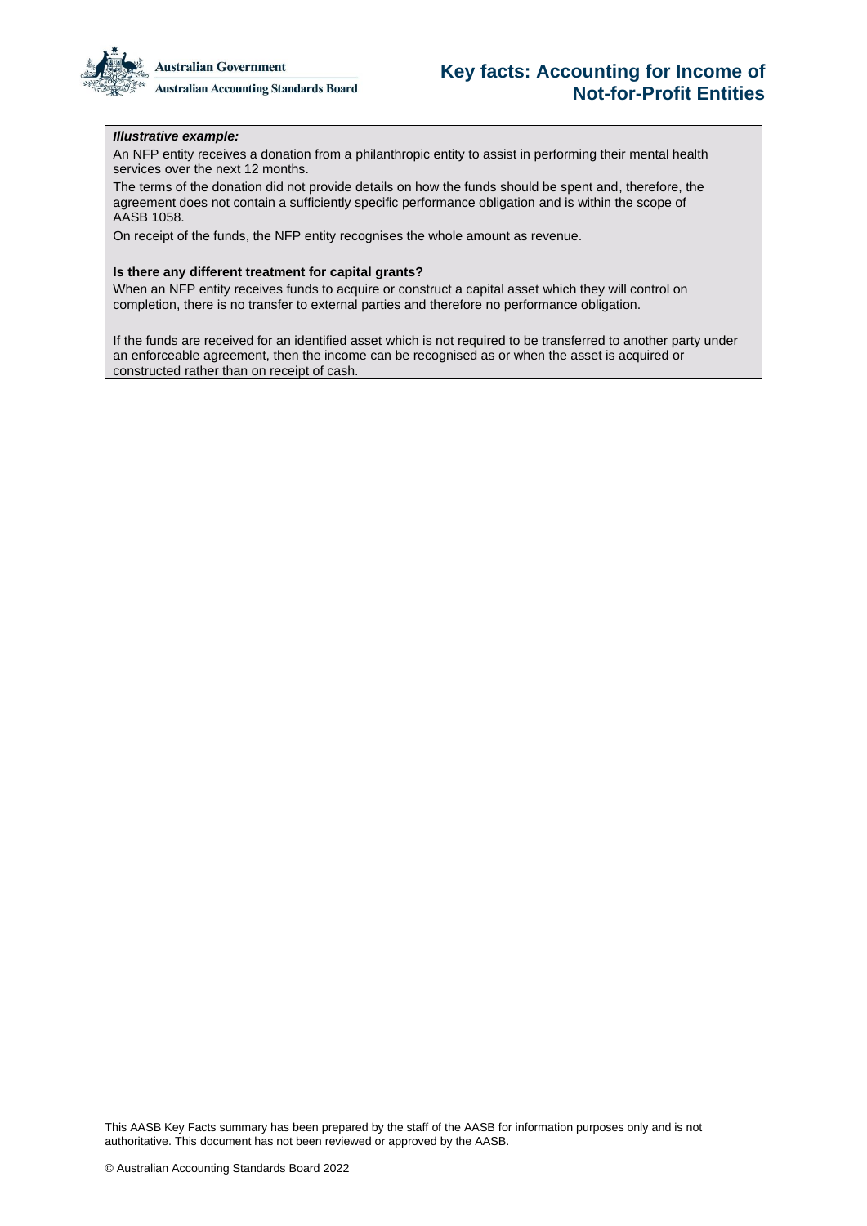

## **Key facts: Accounting for Income of Not-for-Profit Entities**

## *Illustrative example:*

An NFP entity receives a donation from a philanthropic entity to assist in performing their mental health services over the next 12 months.

The terms of the donation did not provide details on how the funds should be spent and, therefore, the agreement does not contain a sufficiently specific performance obligation and is within the scope of AASB 1058.

On receipt of the funds, the NFP entity recognises the whole amount as revenue.

#### **Is there any different treatment for capital grants?**

When an NFP entity receives funds to acquire or construct a capital asset which they will control on completion, there is no transfer to external parties and therefore no performance obligation.

If the funds are received for an identified asset which is not required to be transferred to another party under an enforceable agreement, then the income can be recognised as or when the asset is acquired or constructed rather than on receipt of cash.